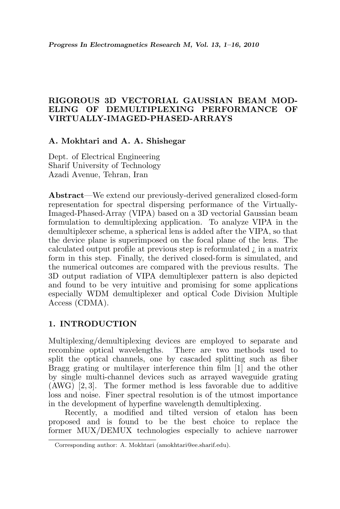# RIGOROUS 3D VECTORIAL GAUSSIAN BEAM MOD-ELING OF DEMULTIPLEXING PERFORMANCE OF VIRTUALLY-IMAGED-PHASED-ARRAYS

## A. Mokhtari and A. A. Shishegar

Dept. of Electrical Engineering Sharif University of Technology Azadi Avenue, Tehran, Iran

Abstract—We extend our previously-derived generalized closed-form representation for spectral dispersing performance of the Virtually-Imaged-Phased-Array (VIPA) based on a 3D vectorial Gaussian beam formulation to demultiplexing application. To analyze VIPA in the demultiplexer scheme, a spherical lens is added after the VIPA, so that the device plane is superimposed on the focal plane of the lens. The calculated output profile at previous step is reformulated ¿ in a matrix form in this step. Finally, the derived closed-form is simulated, and the numerical outcomes are compared with the previous results. The 3D output radiation of VIPA demultiplexer pattern is also depicted and found to be very intuitive and promising for some applications especially WDM demultiplexer and optical Code Division Multiple Access (CDMA).

## 1. INTRODUCTION

Multiplexing/demultiplexing devices are employed to separate and recombine optical wavelengths. There are two methods used to split the optical channels, one by cascaded splitting such as fiber Bragg grating or multilayer interference thin film [1] and the other by single multi-channel devices such as arrayed waveguide grating (AWG) [2, 3]. The former method is less favorable due to additive loss and noise. Finer spectral resolution is of the utmost importance in the development of hyperfine wavelength demultiplexing.

Recently, a modified and tilted version of etalon has been proposed and is found to be the best choice to replace the former MUX/DEMUX technologies especially to achieve narrower

Corresponding author: A. Mokhtari (amokhtari@ee.sharif.edu).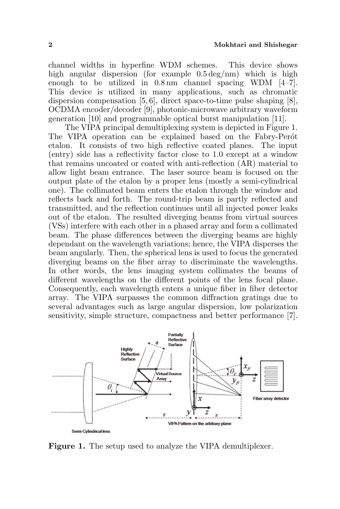channel widths in hyperfine WDM schemes. This device shows high angular dispersion (for example  $0.5 \,\text{deg/nm}$ ) which is high enough to be utilized in 0.8 nm channel spacing WDM [4–7]. This device is utilized in many applications, such as chromatic dispersion compensation [5, 6], direct space-to-time pulse shaping [8], OCDMA encoder/decoder [9], photonic-microwave arbitrary waveform generation [10] and programmable optical burst manipulation [11].

The VIPA principal demultiplexing system is depicted in Figure 1. The VIPA operation can be explained based on the Fabry-Perot etalon. It consists of two high reflective coated planes. The input (entry) side has a reflectivity factor close to 1.0 except at a window that remains uncoated or coated with anti-reflection (AR) material to allow light beam entrance. The laser source beam is focused on the output plate of the etalon by a proper lens (mostly a semi-cylindrical one). The collimated beam enters the etalon through the window and reflects back and forth. The round-trip beam is partly reflected and transmitted, and the reflection continues until all injected power leaks out of the etalon. The resulted diverging beams from virtual sources (VSs) interfere with each other in a phased array and form a collimated beam. The phase differences between the diverging beams are highly dependant on the wavelength variations; hence, the VIPA disperses the beam angularly. Then, the spherical lens is used to focus the generated diverging beams on the fiber array to discriminate the wavelengths. In other words, the lens imaging system collimates the beams of different wavelengths on the different points of the lens focal plane. Consequently, each wavelength enters a unique fiber in fiber detector array. The VIPA surpasses the common diffraction gratings due to several advantages such as large angular dispersion, low polarization sensitivity, simple structure, compactness and better performance [7].



Figure 1. The setup used to analyze the VIPA demultiplexer.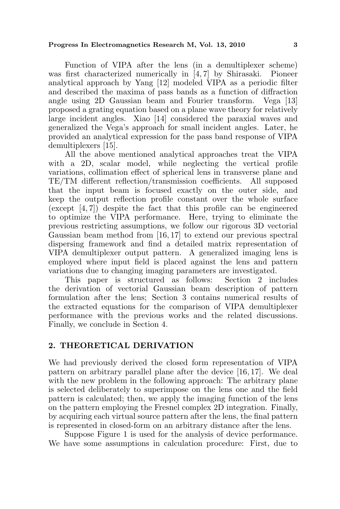Function of VIPA after the lens (in a demultiplexer scheme) was first characterized numerically in [4, 7] by Shirasaki. Pioneer analytical approach by Yang [12] modeled VIPA as a periodic filter and described the maxima of pass bands as a function of diffraction angle using 2D Gaussian beam and Fourier transform. Vega [13] proposed a grating equation based on a plane wave theory for relatively large incident angles. Xiao [14] considered the paraxial waves and generalized the Vega's approach for small incident angles. Later, he provided an analytical expression for the pass band response of VIPA demultiplexers [15].

All the above mentioned analytical approaches treat the VIPA with a 2D, scalar model, while neglecting the vertical profile variations, collimation effect of spherical lens in transverse plane and TE/TM different reflection/transmission coefficients. All supposed that the input beam is focused exactly on the outer side, and keep the output reflection profile constant over the whole surface (except  $[4, 7]$ ) despite the fact that this profile can be engineered to optimize the VIPA performance. Here, trying to eliminate the previous restricting assumptions, we follow our rigorous 3D vectorial Gaussian beam method from [16, 17] to extend our previous spectral dispersing framework and find a detailed matrix representation of VIPA demultiplexer output pattern. A generalized imaging lens is employed where input field is placed against the lens and pattern variations due to changing imaging parameters are investigated.

This paper is structured as follows: Section 2 includes the derivation of vectorial Gaussian beam description of pattern formulation after the lens; Section 3 contains numerical results of the extracted equations for the comparison of VIPA demultiplexer performance with the previous works and the related discussions. Finally, we conclude in Section 4.

## 2. THEORETICAL DERIVATION

We had previously derived the closed form representation of VIPA pattern on arbitrary parallel plane after the device [16, 17]. We deal with the new problem in the following approach: The arbitrary plane is selected deliberately to superimpose on the lens one and the field pattern is calculated; then, we apply the imaging function of the lens on the pattern employing the Fresnel complex 2D integration. Finally, by acquiring each virtual source pattern after the lens, the final pattern is represented in closed-form on an arbitrary distance after the lens.

Suppose Figure 1 is used for the analysis of device performance. We have some assumptions in calculation procedure: First, due to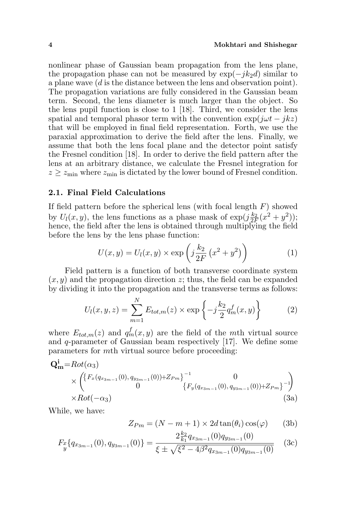nonlinear phase of Gaussian beam propagation from the lens plane, the propagation phase can not be measured by  $\exp(-ik_2d)$  similar to a plane wave (d is the distance between the lens and observation point). The propagation variations are fully considered in the Gaussian beam term. Second, the lens diameter is much larger than the object. So the lens pupil function is close to 1 [18]. Third, we consider the lens spatial and temporal phasor term with the convention  $\exp(i\omega t - i kz)$ that will be employed in final field representation. Forth, we use the paraxial approximation to derive the field after the lens. Finally, we assume that both the lens focal plane and the detector point satisfy the Fresnel condition [18]. In order to derive the field pattern after the lens at an arbitrary distance, we calculate the Fresnel integration for  $z \geq z_{\text{min}}$  where  $z_{\text{min}}$  is dictated by the lower bound of Fresnel condition.

### 2.1. Final Field Calculations

If field pattern before the spherical lens (with focal length  $F$ ) showed by  $U_l(x, y)$ , the lens functions as a phase mask of  $\exp(j\frac{k_2}{2F}(x^2 + y^2));$ hence, the field after the lens is obtained through multiplying the field before the lens by the lens phase function:  $\mathbf{r}$ 

$$
U(x,y) = U_l(x,y) \times \exp\left(j\frac{k_2}{2F}\left(x^2 + y^2\right)\right)
$$
 (1)

Field pattern is a function of both transverse coordinate system  $(x, y)$  and the propagation direction z; thus, the field can be expanded by dividing it into the propagation and the transverse terms as follows:

$$
U_l(x, y, z) = \sum_{m=1}^{N} E_{tot,m}(z) \times \exp\left\{-j\frac{k_2}{2} q_m^f(x, y)\right\}
$$
 (2)

where  $E_{tot,m}(z)$  and  $q_m^f(x, y)$  are the field of the mth virtual source and q-parameter of Gaussian beam respectively [17]. We define some parameters for mth virtual source before proceeding:

$$
Q_{m}^{i} = Rot(\alpha_{3})
$$
\n
$$
\times \begin{pmatrix} \{F_{x}(q_{x_{3m-1}}(0), q_{y_{3m-1}}(0)) + Z_{Pm}\}^{-1} & 0\\ 0 & \{F_{y}(q_{x_{3m-1}}(0), q_{y_{3m-1}}(0)) + Z_{Pm}\}^{-1} \end{pmatrix}
$$
\n
$$
\times Rot(-\alpha_{3})
$$
\n(3a)

While, we have:

$$
Z_{Pm} = (N - m + 1) \times 2d \tan(\theta_i) \cos(\varphi) \qquad (3b)
$$

$$
F_x\{q_{x_{3m-1}}(0), q_{y_{3m-1}}(0)\} = \frac{2\frac{k_2}{k_1}q_{x_{3m-1}}(0)q_{y_{3m-1}}(0)}{\xi \pm \sqrt{\xi^2 - 4\beta^2 q_{x_{3m-1}}(0)q_{y_{3m-1}}(0)}} \quad (3c)
$$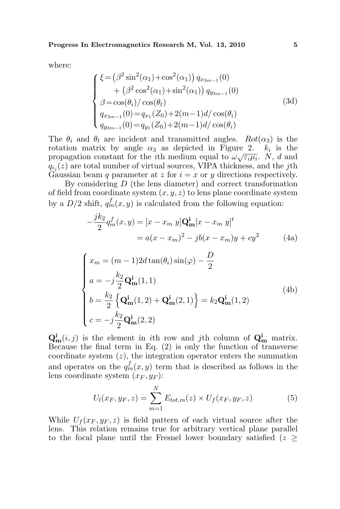where:

$$
\begin{cases}\n\xi = (\beta^2 \sin^2(\alpha_1) + \cos^2(\alpha_1)) q_{x_{3m-1}}(0) \\
+ (\beta^2 \cos^2(\alpha_1) + \sin^2(\alpha_1)) q_{y_{3m-1}}(0) \\
\beta = \cos(\theta_i) / \cos(\theta_t) \\
q_{x_{3m-1}}(0) = q_{x_1}(Z_0) + 2(m-1)d/\cos(\theta_i) \\
q_{y_{3m-1}}(0) = q_{y_1}(Z_0) + 2(m-1)d/\cos(\theta_i)\n\end{cases}
$$
\n(3d)

The  $\theta_i$  and  $\theta_t$  are incident and transmitted angles.  $Rot(\alpha_3)$  is the rotation matrix by angle  $\alpha_3$  as depicted in Figure 2.  $k_i$  is the Focation matrix by angle  $\alpha_3$  as depicted in Figure 2.  $\kappa_i$  is the propagation constant for the *i*th medium equal to  $\omega \sqrt{\varepsilon_i \mu_i}$ . N, d and  $q_{i_j}(z)$  are total number of virtual sources, VIPA thickness, and the jth Gaussian beam q parameter at z for  $i = x$  or y directions respectively.

By considering  $D$  (the lens diameter) and correct transformation of field from coordinate system  $(x, y, z)$  to lens plane coordinate system by a  $D/2$  shift,  $q_m^f(x, y)$  is calculated from the following equation:

$$
-\frac{jk_2}{2}q_m^f(x,y) = [x - x_m y]Q_m^i[x - x_m y]^t
$$
  
=  $a(x - x_m)^2 - jb(x - x_m)y + cy^2$  (4a)

$$
\begin{cases}\nx_m = (m-1)2d\tan(\theta_i)\sin(\varphi) - \frac{D}{2} \\
a = -j\frac{k_2}{2}\mathbf{Q}_m^i(1,1) \\
b = \frac{k_2}{2}\left\{\mathbf{Q}_m^i(1,2) + \mathbf{Q}_m^i(2,1)\right\} = k_2\mathbf{Q}_m^i(1,2) \\
c = -j\frac{k_2}{2}\mathbf{Q}_m^i(2,2)\n\end{cases}
$$
\n(4b)

 $\mathbf{Q}_{\mathbf{m}}^{i}(i,j)$  is the element in *i*th row and *j*th column of  $\mathbf{Q}_{\mathbf{m}}^{i}$  matrix. Because the final term in Eq. (2) is only the function of transverse coordinate system  $(z)$ , the integration operator enters the summation and operates on the  $q_m^f(x, y)$  term that is described as follows in the lens coordinate system  $(x_F, y_F)$ :

$$
U_l(x_F, y_F, z) = \sum_{m=1}^{N} E_{tot,m}(z) \times U_f(x_F, y_F, z)
$$
 (5)

While  $U_f(x_F, y_F, z)$  is field pattern of each virtual source after the lens. This relation remains true for arbitrary vertical plane parallel to the focal plane until the Fresnel lower boundary satisfied ( $z \geq$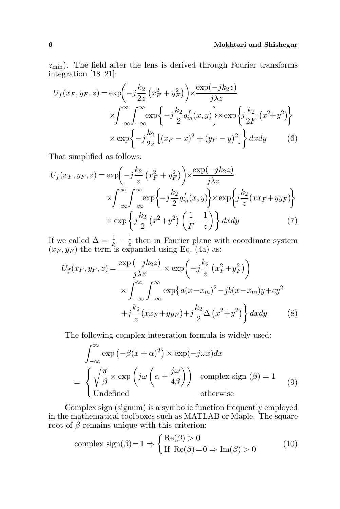$z_{\text{min}}$ ). The field after the lens is derived through Fourier transforms integration [18–21]:

$$
U_f(x_F, y_F, z) = \exp\left(-j\frac{k_2}{2z}\left(x_F^2 + y_F^2\right)\right) \times \frac{\exp(-jk_2 z)}{j\lambda z}
$$

$$
\times \int_{-\infty}^{\infty} \int_{-\infty}^{\infty} \exp\left\{-j\frac{k_2}{2}q_m^f(x, y)\right\} \times \exp\left\{j\frac{k_2}{2F}\left(x^2 + y^2\right)\right\}
$$

$$
\times \exp\left\{-j\frac{k_2}{2z}\left[(x_F - x)^2 + (y_F - y)^2\right]\right\} dxdy \tag{6}
$$

That simplified as follows:

$$
U_f(x_F, y_F, z) = \exp\left(-j\frac{k_2}{z} \left(x_F^2 + y_F^2\right)\right) \times \frac{\exp(-jk_2 z)}{j\lambda z}
$$

$$
\times \int_{-\infty}^{\infty} \int_{-\infty}^{\infty} \exp\left\{-j\frac{k_2}{2} q_m^f(x, y)\right\} \times \exp\left\{j\frac{k_2}{z} (xx_F + yy_F)\right\}
$$

$$
\times \exp\left\{j\frac{k_2}{2} \left(x^2 + y^2\right) \left(\frac{1}{F} - \frac{1}{z}\right)\right\} dx dy \tag{7}
$$

If we called  $\Delta = \frac{1}{F} - \frac{1}{z}$  $\frac{1}{z}$  then in Fourier plane with coordinate system  $(x_F, y_F)$  the term is expanded using Eq. (4a) as:

$$
U_f(x_F, y_F, z) = \frac{\exp(-jk_2 z)}{j\lambda z} \times \exp\left(-j\frac{k_2}{z}\left(x_F^2 + y_F^2\right)\right)
$$

$$
\times \int_{-\infty}^{\infty} \int_{-\infty}^{\infty} \exp\left\{a(x - x_m)^2 - jb(x - x_m)y + cy^2\right\}
$$

$$
+j\frac{k_2}{z}(xx_F + yy_F) + j\frac{k_2}{2}\Delta\left(x^2 + y^2\right)\right\}dxdy \tag{8}
$$

The following complex integration formula is widely used:

$$
\int_{-\infty}^{\infty} \exp\left(-\beta(x+\alpha)^2\right) \times \exp(-j\omega x) dx
$$

$$
= \begin{cases} \sqrt{\frac{\pi}{\beta}} \times \exp\left(j\omega\left(\alpha + \frac{j\omega}{4\beta}\right)\right) & \text{complex sign } (\beta) = 1\\ \text{Undefined} & \text{otherwise} \end{cases} (9)
$$

Complex sign (signum) is a symbolic function frequently employed in the mathematical toolboxes such as MATLAB or Maple. The square root of  $\beta$  remains unique with this criterion:

complex sign(
$$
\beta
$$
)=1  $\Rightarrow$  {Re( $\beta$ ) > 0  
If Re( $\beta$ )=0  $\Rightarrow$  Im( $\beta$ ) > 0 (10)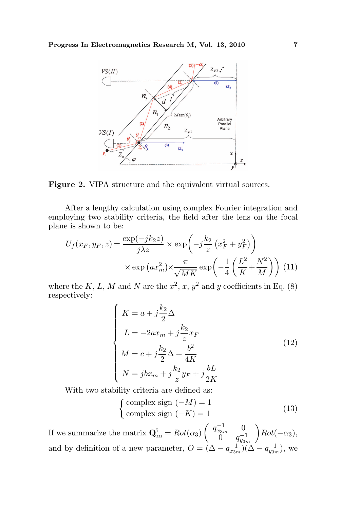

Figure 2. VIPA structure and the equivalent virtual sources.

After a lengthy calculation using complex Fourier integration and employing two stability criteria, the field after the lens on the focal plane is shown to be:  $\mathbf{r}$ 

$$
U_f(x_F, y_F, z) = \frac{\exp(-jk_2 z)}{j\lambda z} \times \exp\left(-j\frac{k_2}{z} \left(x_F^2 + y_F^2\right)\right)
$$

$$
\times \exp\left(ax_m^2\right) \times \frac{\pi}{\sqrt{MK}} \exp\left(-\frac{1}{4} \left(\frac{L^2}{K} + \frac{N^2}{M}\right)\right) (11)
$$

where the K, L, M and N are the  $x^2$ , x,  $y^2$  and y coefficients in Eq. (8) respectively:  $\overline{a}$ 

$$
\begin{cases}\nK = a + j\frac{k_2}{2}\Delta \\
L = -2ax_m + j\frac{k_2}{z}x_F \\
M = c + j\frac{k_2}{2}\Delta + \frac{b^2}{4K} \\
N = jbx_m + j\frac{k_2}{z}y_F + j\frac{bL}{2K}\n\end{cases}
$$
\n(12)

With two stability criteria are defined as: ½

$$
\begin{cases}\n\text{complex sign } (-M) = 1\\ \text{complex sign } (-K) = 1\n\end{cases}
$$
\n(13)

If we summarize the matrix  $\mathbf{Q}_{\mathbf{m}}^{\mathbf{i}} = Rot(\alpha_3)$  $\overline{a}$  $q_{x_{3m}}^{-1} = 0$  $\stackrel{~~}{0} \quad q_{y_{3m}}^{-1}$  $\mathbf{r}$  $Rot(-\alpha_3),$ and by definition of a new parameter,  $O = (\Delta - q_{x_{3m}}^{-1})(\Delta - q_{y_{3m}}^{-1})$ , we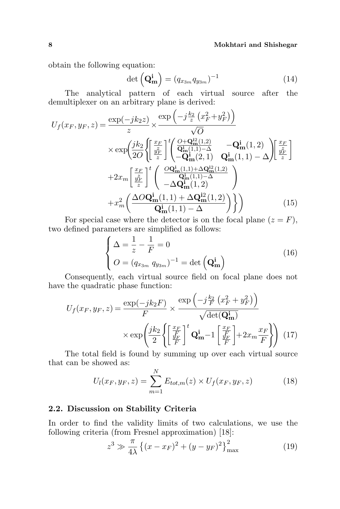obtain the following equation:<br>  $det (\mathbf{Q}_{\mathbf{n}}^{\mathbf{i}})$ 

$$
\det\left(\mathbf{Q}_{\mathbf{m}}^{\mathbf{i}}\right) = (q_{x_{3m}}q_{y_{3m}})^{-1} \tag{14}
$$

The analytical pattern of each virtual source after the ´

demultiplexer on an arbitrary plane is derived:  
\n
$$
U_f(x_F, y_F, z) = \frac{\exp(-jk_2 z)}{z} \times \frac{\exp\left(-j\frac{k_2}{z}\left(x_F^2 + y_F^2\right)\right)}{\sqrt{O}}
$$
\n
$$
\times \exp\left(\frac{jk_2}{2O}\left\{\left[\frac{x_F}{\frac{y_F^2}{z}}\right]^t \left(\frac{O + \mathbf{Q}_{\mathbf{m}}^{12}(1,2)}{\mathbf{Q}_{\mathbf{m}}^{1}(1,1) - \Delta} - \mathbf{Q}_{\mathbf{m}}^{1}(1,2)\right]\left[\frac{x_F}{\frac{y_F^2}{z}}\right] + 2x_m \left[\frac{x_F}{\frac{y_F^2}{z}}\right]^t \left(\frac{O\mathbf{Q}_{\mathbf{m}}^{1}(1,1) + \Delta \mathbf{Q}_{\mathbf{m}}^{12}(1,2)}{-\Delta \mathbf{Q}_{\mathbf{m}}^{1}(1,1) - \Delta}\right) + x_m^2 \left(\frac{\Delta O\mathbf{Q}_{\mathbf{m}}^{1}(1,1) + \Delta \mathbf{Q}_{\mathbf{m}}^{12}(1,2)}{\mathbf{Q}_{\mathbf{m}}^{1}(1,1) - \Delta}\right)\right)
$$
\n(15)

For special case where the detector is on the focal plane  $(z = F)$ , two defined parameters are simplified as follows:

$$
\begin{cases}\n\Delta = \frac{1}{z} - \frac{1}{F} = 0 \\
O = (q_{x_{3m}} q_{y_{3m}})^{-1} = \det\left(\mathbf{Q}_{\mathbf{m}}^{i}\right)\n\end{cases}
$$
\n(16)

Consequently, each virtual source field on focal plane does not have the quadratic phase function:  $\mathcal{L}_{\mathcal{L}}$ 

$$
U_f(x_F, y_F, z) = \frac{\exp(-jk_2 F)}{F} \times \frac{\exp\left(-j\frac{k_2}{F}\left(x_F^2 + y_F^2\right)\right)}{\sqrt{\det(\mathbf{Q_m^i})}}
$$

$$
\times \exp\left(\frac{jk_2}{2}\left\{\left[\frac{\frac{x_F}{F}}{F}\right]^t \mathbf{Q_m^i} - 1\left[\frac{\frac{x_F}{F}}{F}\right] + 2x_m \frac{x_F}{F}\right\}\right) (17)
$$

The total field is found by summing up over each virtual source that can be showed as: N

$$
U_l(x_F, y_F, z) = \sum_{m=1}^{N} E_{tot,m}(z) \times U_f(x_F, y_F, z)
$$
 (18)

## 2.2. Discussion on Stability Criteria

In order to find the validity limits of two calculations, we use the following criteria (from Fresnel approximation) [18]:

$$
z^{3} \gg \frac{\pi}{4\lambda} \left\{ (x - x_{F})^{2} + (y - y_{F})^{2} \right\}_{\text{max}}^{2}
$$
 (19)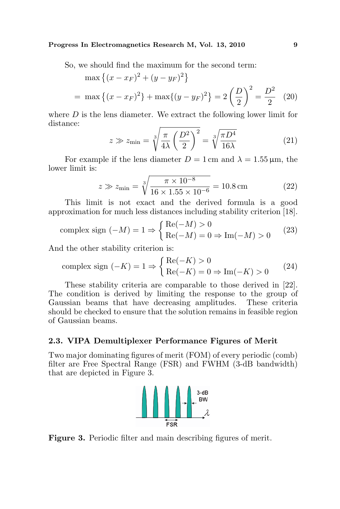So, we should find the maximum for the second term:

$$
\max \left\{ (x - x_F)^2 + (y - y_F)^2 \right\}
$$
  
= max  $\left\{ (x - x_F)^2 \right\}$  + max $\{(y - y_F)^2\}$  =  $2\left(\frac{D}{2}\right)^2 = \frac{D^2}{2}$  (20)

where  $D$  is the lens diameter. We extract the following lower limit for distance: s r

$$
z \gg z_{\min} = \sqrt[3]{\frac{\pi}{4\lambda} \left(\frac{D^2}{2}\right)^2} = \sqrt[3]{\frac{\pi D^4}{16\lambda}}
$$
 (21)

For example if the lens diameter  $D = 1$  cm and  $\lambda = 1.55 \,\mu\text{m}$ , the lower limit is: r

$$
z \gg z_{\text{min}} = \sqrt[3]{\frac{\pi \times 10^{-8}}{16 \times 1.55 \times 10^{-6}}} = 10.8 \,\text{cm}
$$
 (22)

This limit is not exact and the derived formula is a good approximation for much less distances including stability criterion [18].

complex sign 
$$
(-M) = 1 \Rightarrow \begin{cases} \text{Re}(-M) > 0 \\ \text{Re}(-M) = 0 \Rightarrow \text{Im}(-M) > 0 \end{cases}
$$
 (23)

And the other stability criterion is:

complex sign 
$$
(-K) = 1 \Rightarrow \begin{cases} \text{Re}(-K) > 0 \\ \text{Re}(-K) = 0 \Rightarrow \text{Im}(-K) > 0 \end{cases}
$$
 (24)

These stability criteria are comparable to those derived in [22]. The condition is derived by limiting the response to the group of Gaussian beams that have decreasing amplitudes. These criteria should be checked to ensure that the solution remains in feasible region of Gaussian beams.

### 2.3. VIPA Demultiplexer Performance Figures of Merit

Two major dominating figures of merit (FOM) of every periodic (comb) filter are Free Spectral Range (FSR) and FWHM (3-dB bandwidth) that are depicted in Figure 3.



Figure 3. Periodic filter and main describing figures of merit.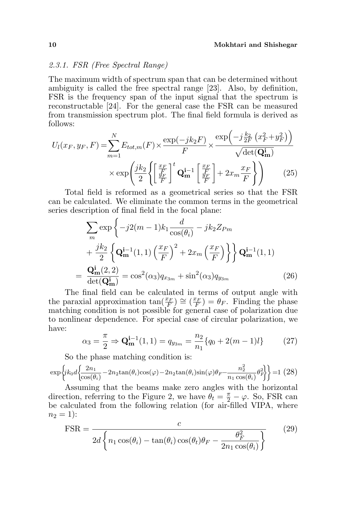#### 2.3.1. FSR (Free Spectral Range)

The maximum width of spectrum span that can be determined without ambiguity is called the free spectral range [23]. Also, by definition, FSR is the frequency span of the input signal that the spectrum is reconstructable [24]. For the general case the FSR can be measured from transmission spectrum plot. The final field formula is derived as follows: ´

$$
U_l(x_F, y_F, F) = \sum_{m=1}^{N} E_{tot,m}(F) \times \frac{\exp(-jk_2 F)}{F} \times \frac{\exp\left(-j\frac{k_2}{2F}\left(x_F^2 + y_F^2\right)\right)}{\sqrt{\det(\mathbf{Q_m}^i)}}
$$

$$
\times \exp\left(\frac{jk_2}{2}\left\{\left[\frac{\frac{x_F}{f_F}}{F}\right]^t \mathbf{Q_m}^{i-1}\left[\frac{\frac{x_F}{f_F}}{F}\right] + 2x_m \frac{x_F}{F}\right\}\right) \tag{25}
$$

Total field is reformed as a geometrical series so that the FSR can be calculated. We eliminate the common terms in the geometrical series description of final field in the focal plane:

$$
\sum_{m} \exp \left\{ -j2(m-1)k_1 \frac{d}{\cos(\theta_i)} - jk_2 Z_{Pm} + \frac{jk_2}{2} \left\{ \mathbf{Q}_{\mathbf{m}}^{i-1}(1,1) \left( \frac{x_F}{F} \right)^2 + 2x_m \left( \frac{x_F}{F} \right) \right\} \right\} \mathbf{Q}_{\mathbf{m}}^{i-1}(1,1)
$$

$$
= \frac{\mathbf{Q}_{\mathbf{m}}^i(2,2)}{\det(\mathbf{Q}_{\mathbf{m}}^i)} = \cos^2(\alpha_3) q_{x_{3m}} + \sin^2(\alpha_3) q_{y_{3m}} \tag{26}
$$

The final field can be calculated in terms of output angle with the paraxial approximation  $\tan(\frac{x_F}{F}) \cong (\frac{x_F}{F}) = \theta_F$ . Finding the phase matching condition is not possible for general case of polarization due to nonlinear dependence. For special case of circular polarization, we have:

$$
\alpha_3 = \frac{\pi}{2} \Rightarrow \mathbf{Q}_{\mathbf{m}}^{\mathbf{i}-1}(1,1) = q_{y_{3m}} = \frac{n_2}{n_1} \{q_0 + 2(m-1)l\} \tag{27}
$$

So the phase matching condition is:

$$
\exp\left\{jk_0d\left\{\frac{2n_1}{\cos(\theta_i)} - 2n_2\tan(\theta_i)\cos(\varphi) - 2n_2\tan(\theta_i)\sin(\varphi)\theta_F - \frac{n_2^2}{n_1\cos(\theta_i)}\theta_F^2\right\}\right\} = 1\tag{28}
$$

Assuming that the beams make zero angles with the horizontal direction, referring to the Figure 2, we have  $\ddot{\theta}_t = \frac{\pi}{2} - \varphi$ . So, FSR can be calculated from the following relation (for air-filled VIPA, where  $n_2 = 1$ :

$$
\text{FSR} = \frac{c}{2d \left\{ n_1 \cos(\theta_i) - \tan(\theta_i) \cos(\theta_t) \theta_F - \frac{\theta_F^2}{2n_1 \cos(\theta_i)} \right\}}
$$
(29)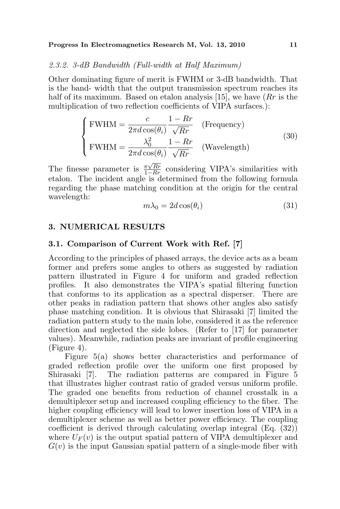### 2.3.2. 3-dB Bandwidth (Full-width at Half Maximum)

Other dominating figure of merit is FWHM or 3-dB bandwidth. That is the band- width that the output transmission spectrum reaches its half of its maximum. Based on etalon analysis [15], we have  $(Rr)$  is the multiplication of two reflection coefficients of VIPA surfaces.):

$$
\begin{cases}\n\text{FWHM} = \frac{c}{2\pi d \cos(\theta_i)} \frac{1 - Rr}{\sqrt{Rr}} & (\text{Frequency}) \\
\text{FWHM} = \frac{\lambda_0^2}{2\pi d \cos(\theta_i)} \frac{1 - Rr}{\sqrt{Rr}} & (\text{Wavelength})\n\end{cases}
$$
\n(30)

The finesse parameter is  $\frac{\pi \sqrt{Rr}}{1-Rr}$  considering VIPA's similarities with etalon. The incident angle is determined from the following formula regarding the phase matching condition at the origin for the central wavelength:

$$
m\lambda_0 = 2d\cos(\theta_i) \tag{31}
$$

### 3. NUMERICAL RESULTS

### 3.1. Comparison of Current Work with Ref. [7]

According to the principles of phased arrays, the device acts as a beam former and prefers some angles to others as suggested by radiation pattern illustrated in Figure 4 for uniform and graded reflection profiles. It also demonstrates the VIPA's spatial filtering function that conforms to its application as a spectral disperser. There are other peaks in radiation pattern that shows other angles also satisfy phase matching condition. It is obvious that Shirasaki [7] limited the radiation pattern study to the main lobe, considered it as the reference direction and neglected the side lobes. (Refer to [17] for parameter values). Meanwhile, radiation peaks are invariant of profile engineering (Figure 4).

Figure 5(a) shows better characteristics and performance of graded reflection profile over the uniform one first proposed by Shirasaki [7]. The radiation patterns are compared in Figure 5 that illustrates higher contrast ratio of graded versus uniform profile. The graded one benefits from reduction of channel crosstalk in a demultiplexer setup and increased coupling efficiency to the fiber. The higher coupling efficiency will lead to lower insertion loss of VIPA in a demultiplexer scheme as well as better power efficiency. The coupling coefficient is derived through calculating overlap integral (Eq. (32)) where  $U_F(v)$  is the output spatial pattern of VIPA demultiplexer and  $G(v)$  is the input Gaussian spatial pattern of a single-mode fiber with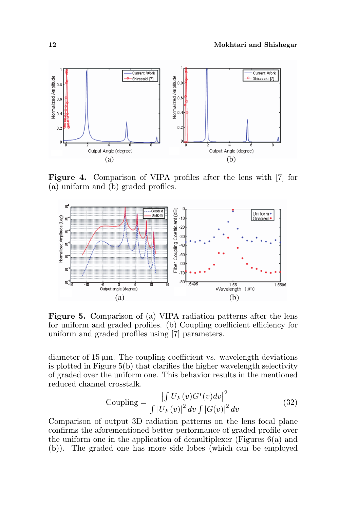

Figure 4. Comparison of VIPA profiles after the lens with [7] for (a) uniform and (b) graded profiles.



Figure 5. Comparison of (a) VIPA radiation patterns after the lens for uniform and graded profiles. (b) Coupling coefficient efficiency for uniform and graded profiles using [7] parameters.

diameter of  $15 \mu m$ . The coupling coefficient vs. wavelength deviations is plotted in Figure 5(b) that clarifies the higher wavelength selectivity of graded over the uniform one. This behavior results in the mentioned reduced channel crosstalk.

Coupling =

\n
$$
\frac{\left| \int U_F(v) G^*(v) dv \right|^2}{\int \left| U_F(v) \right|^2 dv \int \left| G(v) \right|^2 dv}
$$
\n(32)

Comparison of output 3D radiation patterns on the lens focal plane confirms the aforementioned better performance of graded profile over the uniform one in the application of demultiplexer (Figures 6(a) and (b)). The graded one has more side lobes (which can be employed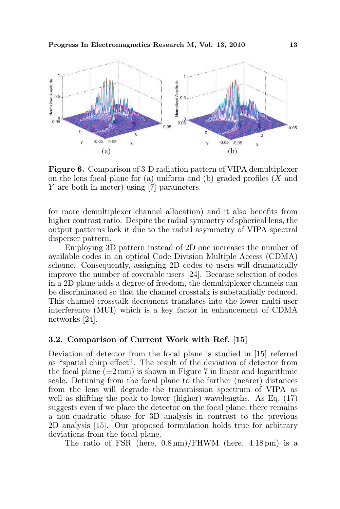

Figure 6. Comparison of 3-D radiation pattern of VIPA demultiplexer on the lens focal plane for (a) uniform and (b) graded profiles  $(X \text{ and }$ Y are both in meter) using [7] parameters.

for more demultiplexer channel allocation) and it also benefits from higher contrast ratio. Despite the radial symmetry of spherical lens, the output patterns lack it due to the radial asymmetry of VIPA spectral disperser pattern.

Employing 3D pattern instead of 2D one increases the number of available codes in an optical Code Division Multiple Access (CDMA) scheme. Consequently, assigning 2D codes to users will dramatically improve the number of coverable users [24]. Because selection of codes in a 2D plane adds a degree of freedom, the demultiplexer channels can be discriminated so that the channel crosstalk is substantially reduced. This channel crosstalk decrement translates into the lower multi-user interference (MUI) which is a key factor in enhancement of CDMA networks [24].

### 3.2. Comparison of Current Work with Ref. [15]

Deviation of detector from the focal plane is studied in [15] referred as "spatial chirp effect". The result of the deviation of detector from the focal plane  $(\pm 2 \text{ mm})$  is shown in Figure 7 in linear and logarithmic scale. Detuning from the focal plane to the farther (nearer) distances from the lens will degrade the transmission spectrum of VIPA as well as shifting the peak to lower (higher) wavelengths. As Eq. (17) suggests even if we place the detector on the focal plane, there remains a non-quadratic phase for 3D analysis in contrast to the previous 2D analysis [15]. Our proposed formulation holds true for arbitrary deviations from the focal plane.

The ratio of FSR (here, 0.8 nm)/FHWM (here, 4.18 pm) is a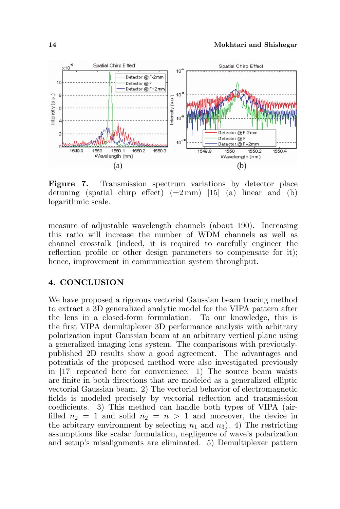

Figure 7. Transmission spectrum variations by detector place detuning (spatial chirp effect)  $(\pm 2 \text{ mm})$  [15] (a) linear and (b) logarithmic scale.

measure of adjustable wavelength channels (about 190). Increasing this ratio will increase the number of WDM channels as well as channel crosstalk (indeed, it is required to carefully engineer the reflection profile or other design parameters to compensate for it); hence, improvement in communication system throughput.

## 4. CONCLUSION

We have proposed a rigorous vectorial Gaussian beam tracing method to extract a 3D generalized analytic model for the VIPA pattern after the lens in a closed-form formulation. To our knowledge, this is the first VIPA demultiplexer 3D performance analysis with arbitrary polarization input Gaussian beam at an arbitrary vertical plane using a generalized imaging lens system. The comparisons with previouslypublished 2D results show a good agreement. The advantages and potentials of the proposed method were also investigated previously in [17] repeated here for convenience: 1) The source beam waists are finite in both directions that are modeled as a generalized elliptic vectorial Gaussian beam. 2) The vectorial behavior of electromagnetic fields is modeled precisely by vectorial reflection and transmission coefficients. 3) This method can handle both types of VIPA (airfilled  $n_2 = 1$  and solid  $n_2 = n > 1$  and moreover, the device in the arbitrary environment by selecting  $n_1$  and  $n_3$ ). 4) The restricting assumptions like scalar formulation, negligence of wave's polarization and setup's misalignments are eliminated. 5) Demultiplexer pattern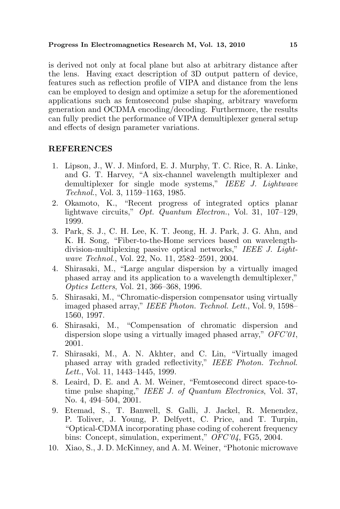is derived not only at focal plane but also at arbitrary distance after the lens. Having exact description of 3D output pattern of device, features such as reflection profile of VIPA and distance from the lens can be employed to design and optimize a setup for the aforementioned applications such as femtosecond pulse shaping, arbitrary waveform generation and OCDMA encoding/decoding. Furthermore, the results can fully predict the performance of VIPA demultiplexer general setup and effects of design parameter variations.

## REFERENCES

- 1. Lipson, J., W. J. Minford, E. J. Murphy, T. C. Rice, R. A. Linke, and G. T. Harvey, "A six-channel wavelength multiplexer and demultiplexer for single mode systems," IEEE J. Lightwave Technol., Vol. 3, 1159–1163, 1985.
- 2. Okamoto, K., "Recent progress of integrated optics planar lightwave circuits," Opt. Quantum Electron., Vol. 31, 107-129, 1999.
- 3. Park, S. J., C. H. Lee, K. T. Jeong, H. J. Park, J. G. Ahn, and K. H. Song, "Fiber-to-the-Home services based on wavelengthdivision-multiplexing passive optical networks," IEEE J. Lightwave Technol., Vol. 22, No. 11, 2582–2591, 2004.
- 4. Shirasaki, M., "Large angular dispersion by a virtually imaged phased array and its application to a wavelength demultiplexer," Optics Letters, Vol. 21, 366–368, 1996.
- 5. Shirasaki, M., "Chromatic-dispersion compensator using virtually imaged phased array," IEEE Photon. Technol. Lett., Vol. 9, 1598– 1560, 1997.
- 6. Shirasaki, M., "Compensation of chromatic dispersion and dispersion slope using a virtually imaged phased array," OFC'01, 2001.
- 7. Shirasaki, M., A. N. Akhter, and C. Lin, "Virtually imaged phased array with graded reflectivity," IEEE Photon. Technol. Lett., Vol. 11, 1443–1445, 1999.
- 8. Leaird, D. E. and A. M. Weiner, "Femtosecond direct space-totime pulse shaping," IEEE J. of Quantum Electronics, Vol. 37, No. 4, 494–504, 2001.
- 9. Etemad, S., T. Banwell, S. Galli, J. Jackel, R. Menendez, P. Toliver, J. Young, P. Delfyett, C. Price, and T. Turpin, "Optical-CDMA incorporating phase coding of coherent frequency bins: Concept, simulation, experiment," OFC'04, FG5, 2004.
- 10. Xiao, S., J. D. McKinney, and A. M. Weiner, "Photonic microwave